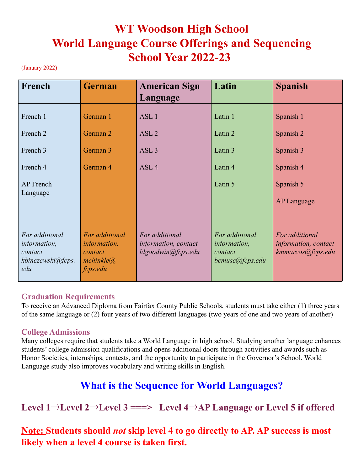# **WT Woodson High School World Language Course Offerings and Sequencing School Year 2022-23**

(January 2022)

| French                                                                | <b>German</b>                                                      | <b>American Sign</b><br>Language                             | Latin                                                        | <b>Spanish</b>                                              |
|-----------------------------------------------------------------------|--------------------------------------------------------------------|--------------------------------------------------------------|--------------------------------------------------------------|-------------------------------------------------------------|
| French 1                                                              | German 1                                                           | ASL <sub>1</sub>                                             | Latin 1                                                      | Spanish 1                                                   |
| French 2                                                              | German 2                                                           | ASL <sub>2</sub>                                             | Latin 2                                                      | Spanish 2                                                   |
| French 3                                                              | German 3                                                           | ASL <sub>3</sub>                                             | Latin 3                                                      | Spanish 3                                                   |
| French 4                                                              | German 4                                                           | ASL4                                                         | Latin 4                                                      | Spanish 4                                                   |
| AP French<br>Language                                                 |                                                                    |                                                              | Latin 5                                                      | Spanish 5<br><b>AP Language</b>                             |
| For additional<br>information,<br>contact<br>kbinczewski@fcps.<br>edu | For additional<br>information,<br>contact<br>mchinkle@<br>fcps.edu | For additional<br>information, contact<br>ldgoodwin@fcps.edu | For additional<br>information,<br>contact<br>bcmuse@fcps.edu | For additional<br>information, contact<br>kmmarcos@fcps.edu |

### **Graduation Requirements**

To receive an Advanced Diploma from Fairfax County Public Schools, students must take either (1) three years of the same language or (2) four years of two different languages (two years of one and two years of another)

## **College Admissions**

Many colleges require that students take a World Language in high school. Studying another language enhances students' college admission qualifications and opens additional doors through activities and awards such as Honor Societies, internships, contests, and the opportunity to participate in the Governor's School. World Language study also improves vocabulary and writing skills in English.

# **What is the Sequence for World Languages?**

**Level 1**⇒**Level 2**⇒**Level 3 ===> Level 4**⇒**AP Language or Level 5 if offered**

**Note: Students should** *not* **skip level 4 to go directly to AP. AP success is most likely when a level 4 course is taken first.**